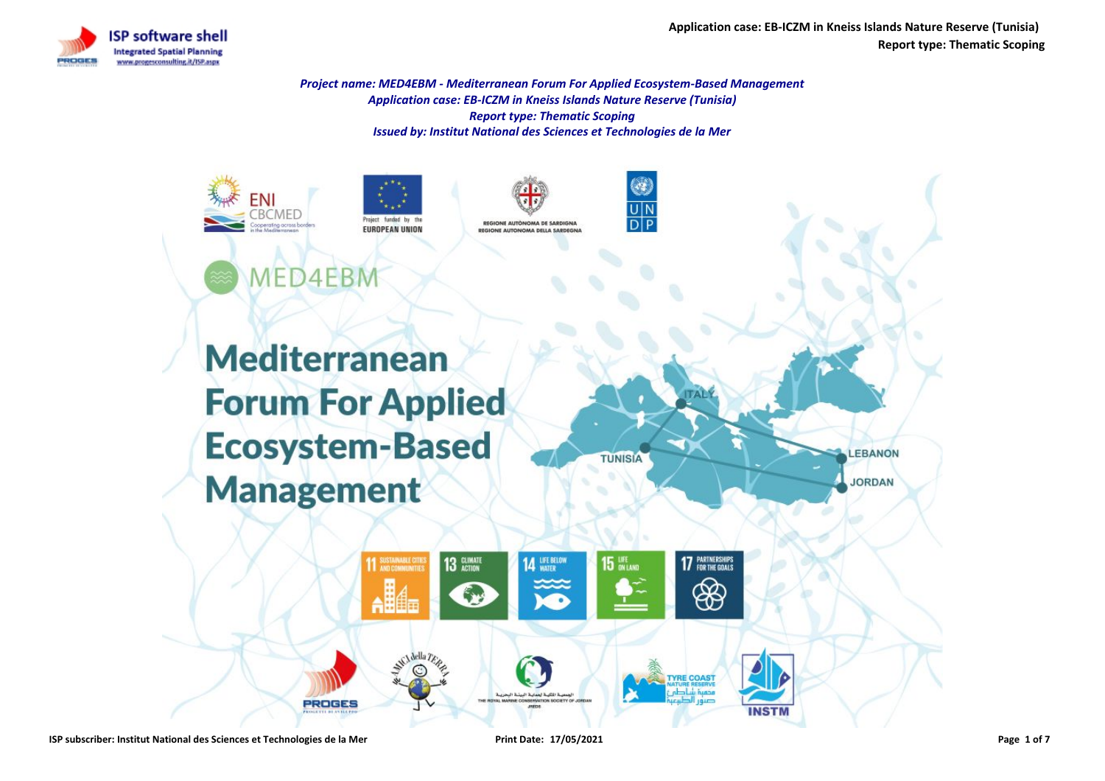**Application case: EB-ICZM in Kneiss Islands Nature Reserve (Tunisia) Report type: Thematic Scoping**

LEBANON

**JORDAN** 



*Project name: MED4EBM - Mediterranean Forum For Applied Ecosystem-Based Management Application case: EB-ICZM in Kneiss Islands Nature Reserve (Tunisia) Report type: Thematic Scoping Issued by: Institut National des Sciences et Technologies de la Mer*



miart funded h **EUROPEAN UNION** 





**Mediterranean Forum For Applied Ecosystem-Based Management** 

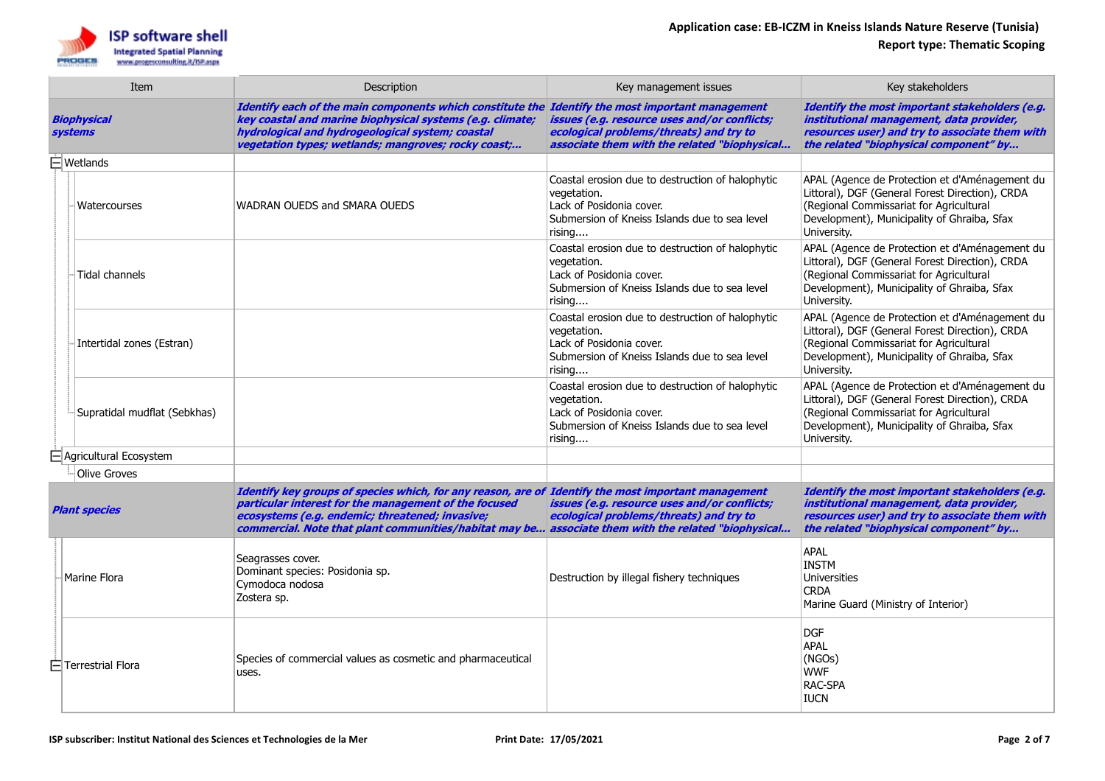

| Item                                 |                               | Description                                                                                                                                                                                                                                                                                                            | Key management issues                                                                                                                                  | Key stakeholders                                                                                                                                                                                           |
|--------------------------------------|-------------------------------|------------------------------------------------------------------------------------------------------------------------------------------------------------------------------------------------------------------------------------------------------------------------------------------------------------------------|--------------------------------------------------------------------------------------------------------------------------------------------------------|------------------------------------------------------------------------------------------------------------------------------------------------------------------------------------------------------------|
| <b>Biophysical</b><br><b>systems</b> |                               | Identify each of the main components which constitute the Identify the most important management<br>key coastal and marine biophysical systems (e.g. climate;<br>hydrological and hydrogeological system; coastal<br>vegetation types; wetlands; mangroves; rocky coast;                                               | issues (e.g. resource uses and/or conflicts;<br>ecological problems/threats) and try to<br>associate them with the related "biophysical                | Identify the most important stakeholders (e.g.<br>institutional management, data provider,<br>resources user) and try to associate them with<br>the related "biophysical component" by                     |
| $\Box$ Wetlands                      |                               |                                                                                                                                                                                                                                                                                                                        |                                                                                                                                                        |                                                                                                                                                                                                            |
|                                      | Watercourses                  | WADRAN OUEDS and SMARA OUEDS                                                                                                                                                                                                                                                                                           | Coastal erosion due to destruction of halophytic<br>vegetation.<br>Lack of Posidonia cover.<br>Submersion of Kneiss Islands due to sea level<br>rising | APAL (Agence de Protection et d'Aménagement du<br>Littoral), DGF (General Forest Direction), CRDA<br>(Regional Commissariat for Agricultural<br>Development), Municipality of Ghraiba, Sfax<br>University. |
|                                      | Tidal channels                |                                                                                                                                                                                                                                                                                                                        | Coastal erosion due to destruction of halophytic<br>vegetation.<br>Lack of Posidonia cover.<br>Submersion of Kneiss Islands due to sea level<br>rising | APAL (Agence de Protection et d'Aménagement du<br>Littoral), DGF (General Forest Direction), CRDA<br>(Regional Commissariat for Agricultural<br>Development), Municipality of Ghraiba, Sfax<br>University. |
|                                      | Intertidal zones (Estran)     |                                                                                                                                                                                                                                                                                                                        | Coastal erosion due to destruction of halophytic<br>vegetation.<br>Lack of Posidonia cover.<br>Submersion of Kneiss Islands due to sea level<br>rising | APAL (Agence de Protection et d'Aménagement du<br>Littoral), DGF (General Forest Direction), CRDA<br>(Regional Commissariat for Agricultural<br>Development), Municipality of Ghraiba, Sfax<br>University. |
|                                      | Supratidal mudflat (Sebkhas)  |                                                                                                                                                                                                                                                                                                                        | Coastal erosion due to destruction of halophytic<br>vegetation.<br>Lack of Posidonia cover.<br>Submersion of Kneiss Islands due to sea level<br>rising | APAL (Agence de Protection et d'Aménagement du<br>Littoral), DGF (General Forest Direction), CRDA<br>(Regional Commissariat for Agricultural<br>Development), Municipality of Ghraiba, Sfax<br>University. |
|                                      | $\Box$ Agricultural Ecosystem |                                                                                                                                                                                                                                                                                                                        |                                                                                                                                                        |                                                                                                                                                                                                            |
| <b>Olive Groves</b>                  |                               |                                                                                                                                                                                                                                                                                                                        |                                                                                                                                                        |                                                                                                                                                                                                            |
| <b>Plant species</b>                 |                               | Identify key groups of species which, for any reason, are of Identify the most important management<br>particular interest for the management of the focused<br>ecosystems (e.g. endemic; threatened; invasive;<br>commercial. Note that plant communities/habitat may be associate them with the related "biophysical | issues (e.g. resource uses and/or conflicts;<br>ecological problems/threats) and try to                                                                | Identify the most important stakeholders (e.g.<br>institutional management, data provider,<br>resources user) and try to associate them with<br>the related "biophysical component" by                     |
|                                      | Marine Flora                  | Seagrasses cover.<br>Dominant species: Posidonia sp.<br>Cymodoca nodosa<br>Zostera sp.                                                                                                                                                                                                                                 | Destruction by illegal fishery techniques                                                                                                              | <b>APAL</b><br><b>INSTM</b><br><b>Universities</b><br><b>CRDA</b><br>Marine Guard (Ministry of Interior)                                                                                                   |
|                                      | $\Box$ Terrestrial Flora      | Species of commercial values as cosmetic and pharmaceutical<br>uses.                                                                                                                                                                                                                                                   |                                                                                                                                                        | <b>DGF</b><br><b>APAL</b><br>(NGOs)<br><b>WWF</b><br>RAC-SPA<br><b>IUCN</b>                                                                                                                                |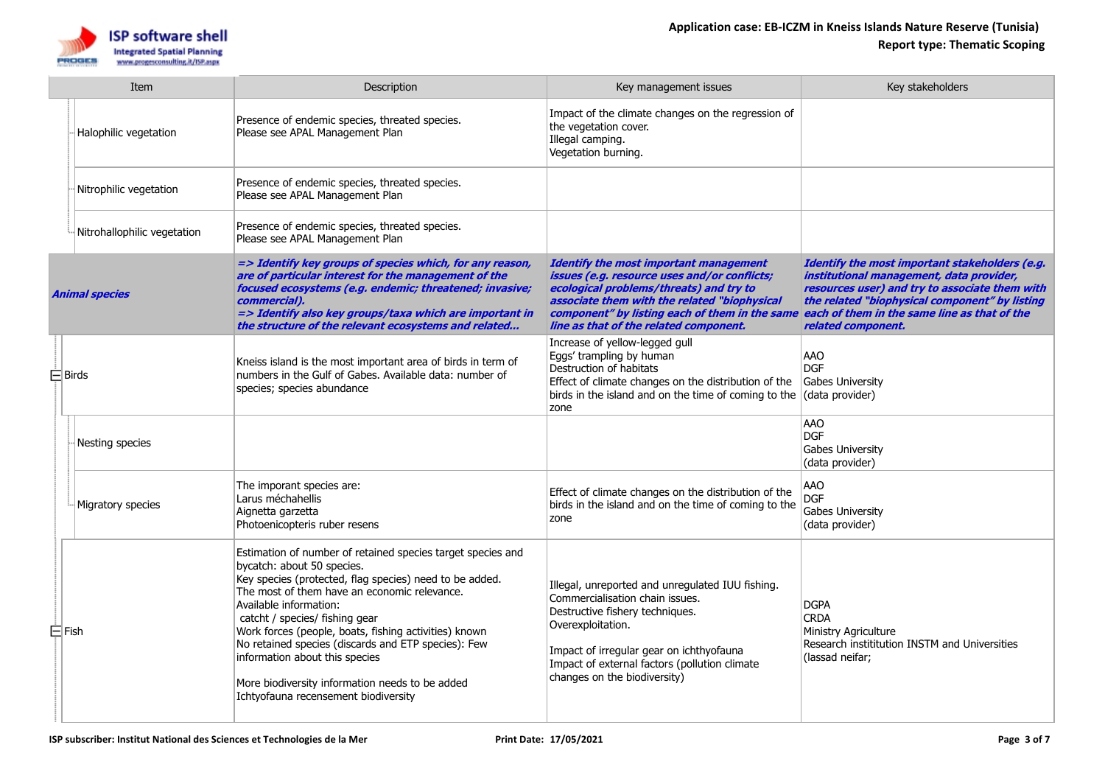

|                       | Item                        | Description                                                                                                                                                                                                                                                                                                                                                                                                                                                                                                   | Key management issues                                                                                                                                                                                                                                                                                                             | Key stakeholders                                                                                                                                                                                                     |
|-----------------------|-----------------------------|---------------------------------------------------------------------------------------------------------------------------------------------------------------------------------------------------------------------------------------------------------------------------------------------------------------------------------------------------------------------------------------------------------------------------------------------------------------------------------------------------------------|-----------------------------------------------------------------------------------------------------------------------------------------------------------------------------------------------------------------------------------------------------------------------------------------------------------------------------------|----------------------------------------------------------------------------------------------------------------------------------------------------------------------------------------------------------------------|
|                       | Halophilic vegetation       | Presence of endemic species, threated species.<br>Please see APAL Management Plan                                                                                                                                                                                                                                                                                                                                                                                                                             | Impact of the climate changes on the regression of<br>the vegetation cover.<br>Illegal camping.<br>Vegetation burning.                                                                                                                                                                                                            |                                                                                                                                                                                                                      |
|                       | Nitrophilic vegetation      | Presence of endemic species, threated species.<br>Please see APAL Management Plan                                                                                                                                                                                                                                                                                                                                                                                                                             |                                                                                                                                                                                                                                                                                                                                   |                                                                                                                                                                                                                      |
|                       | Nitrohallophilic vegetation | Presence of endemic species, threated species.<br>Please see APAL Management Plan                                                                                                                                                                                                                                                                                                                                                                                                                             |                                                                                                                                                                                                                                                                                                                                   |                                                                                                                                                                                                                      |
| <b>Animal species</b> |                             | => Identify key groups of species which, for any reason,<br>are of particular interest for the management of the<br>focused ecosystems (e.g. endemic; threatened; invasive;<br>commercial).<br>=> Identify also key groups/taxa which are important in<br>the structure of the relevant ecosystems and related                                                                                                                                                                                                | <b>Identify the most important management</b><br>issues (e.g. resource uses and/or conflicts;<br>ecological problems/threats) and try to<br>associate them with the related "biophysical<br>component" by listing each of them in the same each of them in the same line as that of the<br>line as that of the related component. | Identify the most important stakeholders (e.g.<br>institutional management, data provider,<br>resources user) and try to associate them with<br>the related "biophysical component" by listing<br>related component. |
|                       | $\Box$ Birds                | Kneiss island is the most important area of birds in term of<br>numbers in the Gulf of Gabes. Available data: number of<br>species; species abundance                                                                                                                                                                                                                                                                                                                                                         | Increase of yellow-legged gull<br>Eggs' trampling by human<br>Destruction of habitats<br>Effect of climate changes on the distribution of the<br>birds in the island and on the time of coming to the<br>zone                                                                                                                     | <b>AAO</b><br><b>DGF</b><br><b>Gabes University</b><br>(data provider)                                                                                                                                               |
|                       | Nesting species             |                                                                                                                                                                                                                                                                                                                                                                                                                                                                                                               |                                                                                                                                                                                                                                                                                                                                   | <b>AAO</b><br><b>DGF</b><br>Gabes University<br>(data provider)                                                                                                                                                      |
|                       | Migratory species           | The imporant species are:<br>Larus méchahellis<br>Aignetta garzetta<br>Photoenicopteris ruber resens                                                                                                                                                                                                                                                                                                                                                                                                          | Effect of climate changes on the distribution of the<br>birds in the island and on the time of coming to the<br>zone                                                                                                                                                                                                              | <b>AAO</b><br><b>DGF</b><br><b>Gabes University</b><br>(data provider)                                                                                                                                               |
| $\boxminus$ Fish      |                             | Estimation of number of retained species target species and<br>bycatch: about 50 species.<br>Key species (protected, flag species) need to be added.<br>The most of them have an economic relevance.<br>Available information:<br>catcht / species/ fishing gear<br>Work forces (people, boats, fishing activities) known<br>No retained species (discards and ETP species): Few<br>information about this species<br>More biodiversity information needs to be added<br>Ichtyofauna recensement biodiversity | Illegal, unreported and unregulated IUU fishing.<br>Commercialisation chain issues.<br>Destructive fishery techniques.<br>Overexploitation.<br>Impact of irregular gear on ichthyofauna<br>Impact of external factors (pollution climate<br>changes on the biodiversity)                                                          | <b>DGPA</b><br><b>CRDA</b><br>Ministry Agriculture<br>Research instititution INSTM and Universities<br>(lassad neifar;                                                                                               |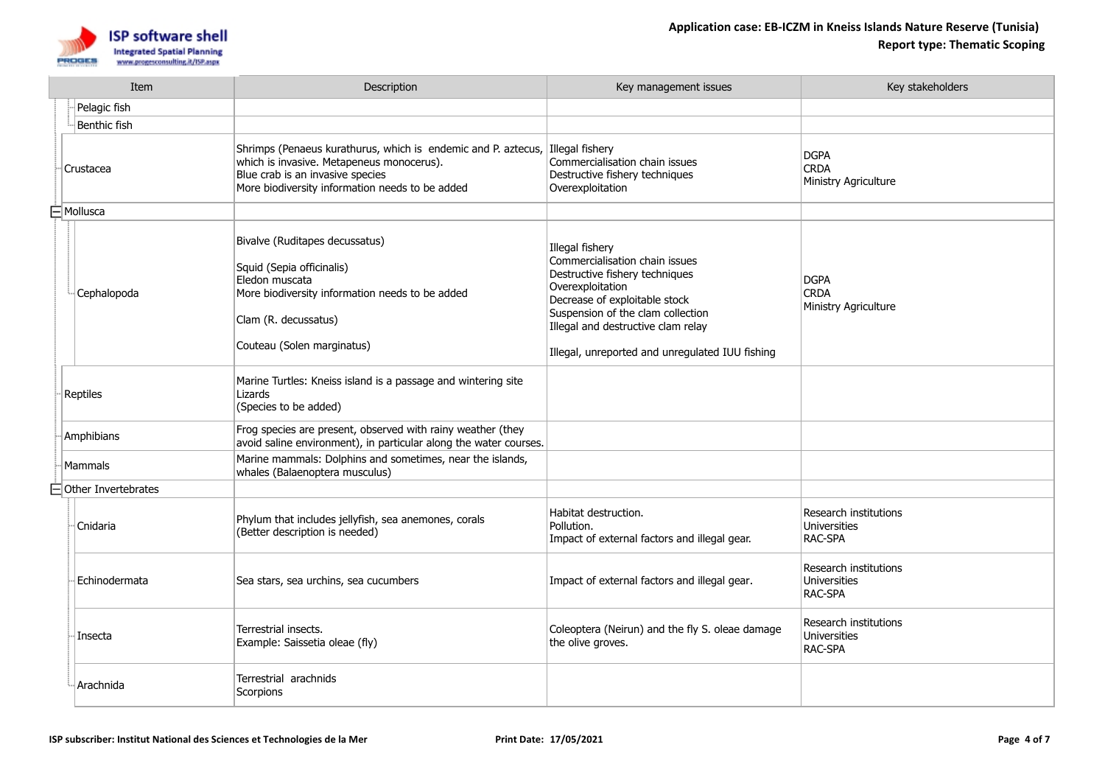

|  | Item                 | Description                                                                                                                                                                                                       | Key management issues                                                                                                                                                                                                                                                  | Key stakeholders                                               |
|--|----------------------|-------------------------------------------------------------------------------------------------------------------------------------------------------------------------------------------------------------------|------------------------------------------------------------------------------------------------------------------------------------------------------------------------------------------------------------------------------------------------------------------------|----------------------------------------------------------------|
|  | Pelagic fish         |                                                                                                                                                                                                                   |                                                                                                                                                                                                                                                                        |                                                                |
|  | Benthic fish         |                                                                                                                                                                                                                   |                                                                                                                                                                                                                                                                        |                                                                |
|  | Crustacea            | Shrimps (Penaeus kurathurus, which is endemic and P. aztecus, Illegal fishery<br>which is invasive. Metapeneus monocerus).<br>Blue crab is an invasive species<br>More biodiversity information needs to be added | Commercialisation chain issues<br>Destructive fishery techniques<br>Overexploitation                                                                                                                                                                                   | <b>DGPA</b><br><b>CRDA</b><br>Ministry Agriculture             |
|  | $\boxminus$ Mollusca |                                                                                                                                                                                                                   |                                                                                                                                                                                                                                                                        |                                                                |
|  | Cephalopoda          | Bivalve (Ruditapes decussatus)<br>Squid (Sepia officinalis)<br>Eledon muscata<br>More biodiversity information needs to be added<br>Clam (R. decussatus)<br>Couteau (Solen marginatus)                            | Illegal fishery<br>Commercialisation chain issues<br>Destructive fishery techniques<br>Overexploitation<br>Decrease of exploitable stock<br>Suspension of the clam collection<br>Illegal and destructive clam relay<br>Illegal, unreported and unregulated IUU fishing | <b>DGPA</b><br><b>CRDA</b><br>Ministry Agriculture             |
|  | Reptiles             | Marine Turtles: Kneiss island is a passage and wintering site<br>Lizards<br>(Species to be added)                                                                                                                 |                                                                                                                                                                                                                                                                        |                                                                |
|  | Amphibians           | Frog species are present, observed with rainy weather (they<br>avoid saline environment), in particular along the water courses.                                                                                  |                                                                                                                                                                                                                                                                        |                                                                |
|  | <b>Mammals</b>       | Marine mammals: Dolphins and sometimes, near the islands,<br>whales (Balaenoptera musculus)                                                                                                                       |                                                                                                                                                                                                                                                                        |                                                                |
|  | Other Invertebrates  |                                                                                                                                                                                                                   |                                                                                                                                                                                                                                                                        |                                                                |
|  | Cnidaria             | Phylum that includes jellyfish, sea anemones, corals<br>(Better description is needed)                                                                                                                            | Habitat destruction.<br>Pollution.<br>Impact of external factors and illegal gear.                                                                                                                                                                                     | Research institutions<br>Universities<br>RAC-SPA               |
|  | Echinodermata        | Sea stars, sea urchins, sea cucumbers                                                                                                                                                                             | Impact of external factors and illegal gear.                                                                                                                                                                                                                           | Research institutions<br>Universities<br>RAC-SPA               |
|  | Insecta              | Terrestrial insects.<br>Example: Saissetia oleae (fly)                                                                                                                                                            | Coleoptera (Neirun) and the fly S. oleae damage<br>the olive groves.                                                                                                                                                                                                   | Research institutions<br><b>Universities</b><br><b>RAC-SPA</b> |
|  | Arachnida            | Terrestrial arachnids<br>Scorpions                                                                                                                                                                                |                                                                                                                                                                                                                                                                        |                                                                |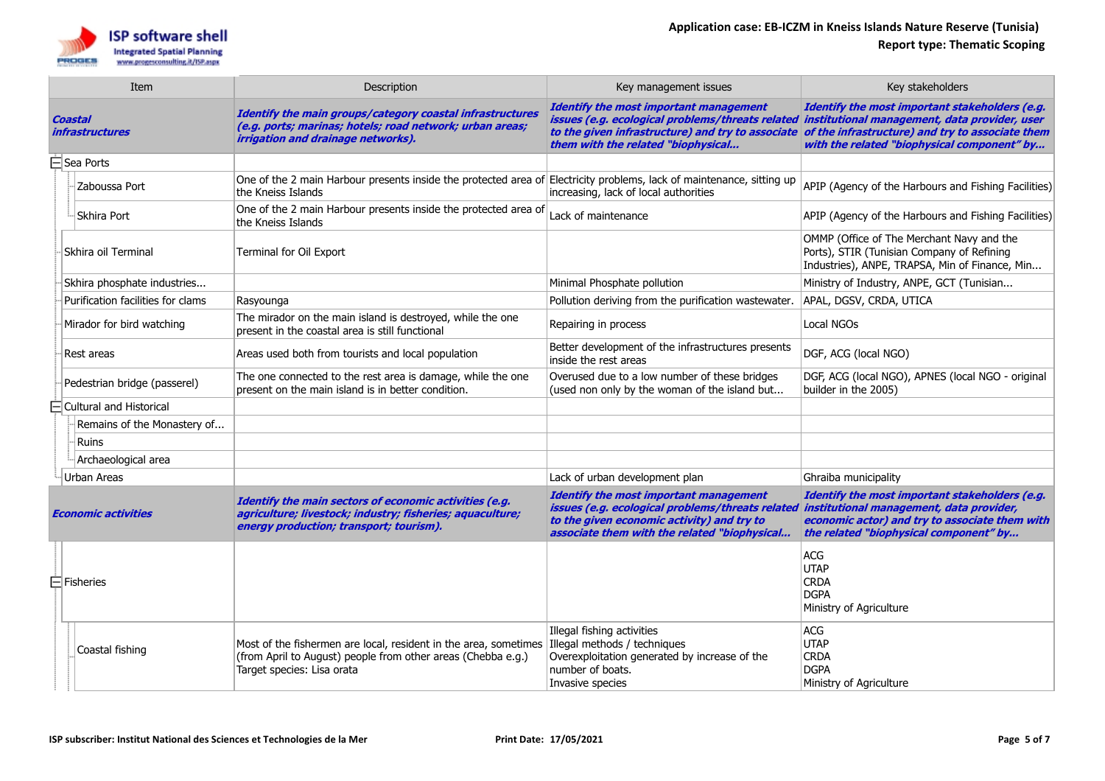

| Item                              | Description                                                                                                                                                                                 | Key management issues                                                                                                                                                                                                                      | Key stakeholders                                                                                                                                                                       |
|-----------------------------------|---------------------------------------------------------------------------------------------------------------------------------------------------------------------------------------------|--------------------------------------------------------------------------------------------------------------------------------------------------------------------------------------------------------------------------------------------|----------------------------------------------------------------------------------------------------------------------------------------------------------------------------------------|
| Coastal<br><i>infrastructures</i> | Identify the main groups/category coastal infrastructures<br>(e.g. ports; marinas; hotels; road network; urban areas;<br>irrigation and drainage networks).                                 | <b>Identify the most important management</b><br>issues (e.g. ecological problems/threats related institutional management, data provider, user<br>to the given infrastructure) and try to associate<br>them with the related "biophysical | Identify the most important stakeholders (e.g.<br>of the infrastructure) and try to associate them<br>with the related "biophysical component" by                                      |
| $\Box$ Sea Ports                  |                                                                                                                                                                                             |                                                                                                                                                                                                                                            |                                                                                                                                                                                        |
| Zaboussa Port                     | One of the 2 main Harbour presents inside the protected area of Electricity problems, lack of maintenance, sitting up<br>the Kneiss Islands                                                 | increasing, lack of local authorities                                                                                                                                                                                                      | APIP (Agency of the Harbours and Fishing Facilities)                                                                                                                                   |
| Skhira Port                       | One of the 2 main Harbour presents inside the protected area of<br>the Kneiss Islands                                                                                                       | Lack of maintenance                                                                                                                                                                                                                        | APIP (Agency of the Harbours and Fishing Facilities)                                                                                                                                   |
| Skhira oil Terminal               | Terminal for Oil Export                                                                                                                                                                     |                                                                                                                                                                                                                                            | OMMP (Office of The Merchant Navy and the<br>Ports), STIR (Tunisian Company of Refining<br>Industries), ANPE, TRAPSA, Min of Finance, Min                                              |
| Skhira phosphate industries       |                                                                                                                                                                                             | Minimal Phosphate pollution                                                                                                                                                                                                                | Ministry of Industry, ANPE, GCT (Tunisian                                                                                                                                              |
| Purification facilities for clams | Rasyounga                                                                                                                                                                                   | Pollution deriving from the purification wastewater.                                                                                                                                                                                       | APAL, DGSV, CRDA, UTICA                                                                                                                                                                |
| Mirador for bird watching         | The mirador on the main island is destroyed, while the one<br>present in the coastal area is still functional                                                                               | Repairing in process                                                                                                                                                                                                                       | Local NGOs                                                                                                                                                                             |
| Rest areas                        | Areas used both from tourists and local population                                                                                                                                          | Better development of the infrastructures presents<br>inside the rest areas                                                                                                                                                                | DGF, ACG (local NGO)                                                                                                                                                                   |
| Pedestrian bridge (passerel)      | The one connected to the rest area is damage, while the one<br>present on the main island is in better condition.                                                                           | Overused due to a low number of these bridges<br>(used non only by the woman of the island but                                                                                                                                             | DGF, ACG (local NGO), APNES (local NGO - original<br>builder in the 2005)                                                                                                              |
| $\Box$ Cultural and Historical    |                                                                                                                                                                                             |                                                                                                                                                                                                                                            |                                                                                                                                                                                        |
| Remains of the Monastery of       |                                                                                                                                                                                             |                                                                                                                                                                                                                                            |                                                                                                                                                                                        |
| Ruins                             |                                                                                                                                                                                             |                                                                                                                                                                                                                                            |                                                                                                                                                                                        |
| Archaeological area               |                                                                                                                                                                                             |                                                                                                                                                                                                                                            |                                                                                                                                                                                        |
| Urban Areas                       |                                                                                                                                                                                             | Lack of urban development plan                                                                                                                                                                                                             | Ghraiba municipality                                                                                                                                                                   |
| <b>Economic activities</b>        | Identify the main sectors of economic activities (e.g.<br>agriculture; livestock; industry; fisheries; aquaculture;<br>energy production; transport; tourism).                              | <b>Identify the most important management</b><br>issues (e.g. ecological problems/threats related<br>to the given economic activity) and try to<br>associate them with the related "biophysical                                            | Identify the most important stakeholders (e.g.<br>institutional management, data provider,<br>economic actor) and try to associate them with<br>the related "biophysical component" by |
| $\Box$ Fisheries                  |                                                                                                                                                                                             |                                                                                                                                                                                                                                            | <b>ACG</b><br><b>UTAP</b><br><b>CRDA</b><br><b>DGPA</b><br>Ministry of Agriculture                                                                                                     |
| Coastal fishing                   | Most of the fishermen are local, resident in the area, sometimes Illegal methods / techniques<br>(from April to August) people from other areas (Chebba e.g.)<br>Target species: Lisa orata | Illegal fishing activities<br>Overexploitation generated by increase of the<br>number of boats.<br>Invasive species                                                                                                                        | ACG<br><b>UTAP</b><br><b>CRDA</b><br><b>DGPA</b><br>Ministry of Agriculture                                                                                                            |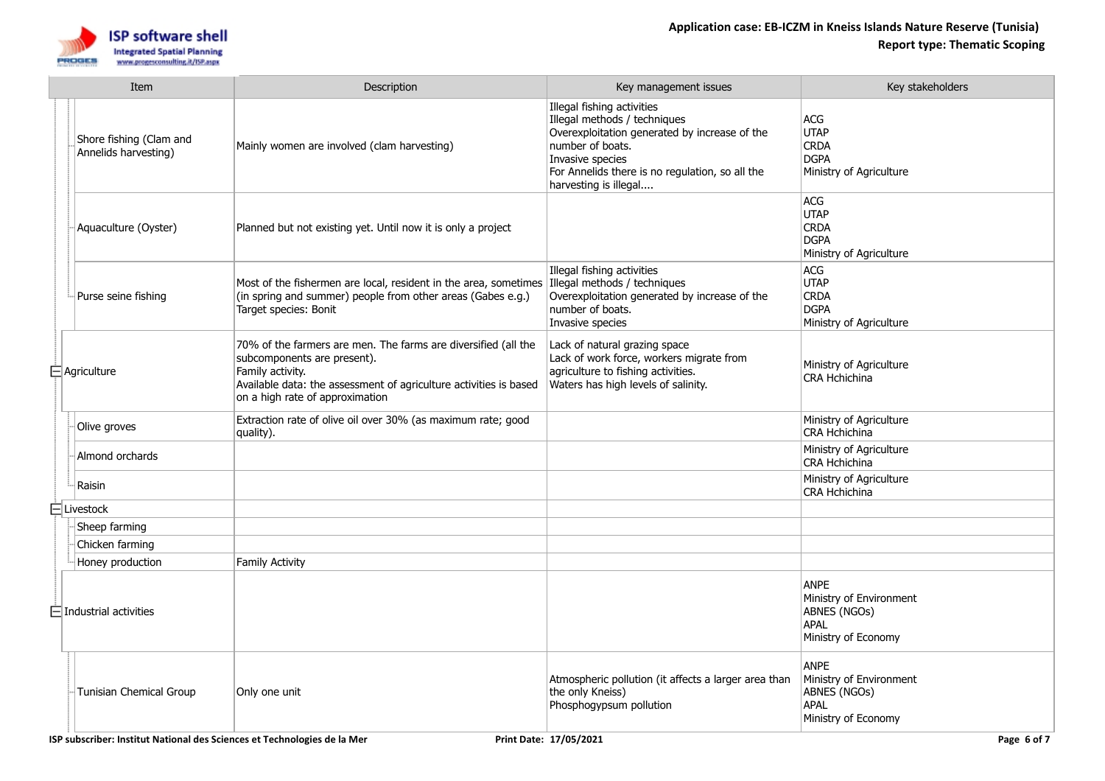

|  | Item                                            | Description                                                                                                                                                                                                               | Key management issues                                                                                                                                                                                                           | Key stakeholders                                                                             |
|--|-------------------------------------------------|---------------------------------------------------------------------------------------------------------------------------------------------------------------------------------------------------------------------------|---------------------------------------------------------------------------------------------------------------------------------------------------------------------------------------------------------------------------------|----------------------------------------------------------------------------------------------|
|  | Shore fishing (Clam and<br>Annelids harvesting) | Mainly women are involved (clam harvesting)                                                                                                                                                                               | Illegal fishing activities<br>Illegal methods / techniques<br>Overexploitation generated by increase of the<br>number of boats.<br>Invasive species<br>For Annelids there is no regulation, so all the<br>harvesting is illegal | ACG<br><b>UTAP</b><br><b>CRDA</b><br><b>DGPA</b><br>Ministry of Agriculture                  |
|  | Aquaculture (Oyster)                            | Planned but not existing yet. Until now it is only a project                                                                                                                                                              |                                                                                                                                                                                                                                 | ACG<br>UTAP<br><b>CRDA</b><br><b>DGPA</b><br>Ministry of Agriculture                         |
|  | Purse seine fishing                             | Most of the fishermen are local, resident in the area, sometimes Illegal methods / techniques<br>(in spring and summer) people from other areas (Gabes e.g.)<br>Target species: Bonit                                     | Illegal fishing activities<br>Overexploitation generated by increase of the<br>number of boats.<br>Invasive species                                                                                                             | ACG<br>UTAP<br><b>CRDA</b><br><b>DGPA</b><br>Ministry of Agriculture                         |
|  | $\bar{\boxminus}$ Agriculture                   | 70% of the farmers are men. The farms are diversified (all the<br>subcomponents are present).<br>Family activity.<br>Available data: the assessment of agriculture activities is based<br>on a high rate of approximation | Lack of natural grazing space<br>Lack of work force, workers migrate from<br>agriculture to fishing activities.<br>Waters has high levels of salinity.                                                                          | Ministry of Agriculture<br>CRA Hchichina                                                     |
|  | Olive groves                                    | Extraction rate of olive oil over 30% (as maximum rate; good<br>quality).                                                                                                                                                 |                                                                                                                                                                                                                                 | Ministry of Agriculture<br>CRA Hchichina                                                     |
|  | Almond orchards                                 |                                                                                                                                                                                                                           |                                                                                                                                                                                                                                 | Ministry of Agriculture<br>CRA Hchichina                                                     |
|  | Raisin                                          |                                                                                                                                                                                                                           |                                                                                                                                                                                                                                 | Ministry of Agriculture<br><b>CRA Hchichina</b>                                              |
|  | $\boxminus$ Livestock                           |                                                                                                                                                                                                                           |                                                                                                                                                                                                                                 |                                                                                              |
|  | Sheep farming                                   |                                                                                                                                                                                                                           |                                                                                                                                                                                                                                 |                                                                                              |
|  | Chicken farming                                 |                                                                                                                                                                                                                           |                                                                                                                                                                                                                                 |                                                                                              |
|  | Honey production                                | <b>Family Activity</b>                                                                                                                                                                                                    |                                                                                                                                                                                                                                 |                                                                                              |
|  | $\equiv$ Industrial activities                  |                                                                                                                                                                                                                           |                                                                                                                                                                                                                                 | <b>ANPE</b><br>Ministry of Environment<br>ABNES (NGOs)<br>APAL<br>Ministry of Economy        |
|  | Tunisian Chemical Group                         | Only one unit                                                                                                                                                                                                             | Atmospheric pollution (it affects a larger area than<br>the only Kneiss)<br>Phosphogypsum pollution                                                                                                                             | <b>ANPE</b><br>Ministry of Environment<br>ABNES (NGOs)<br><b>APAL</b><br>Ministry of Economy |